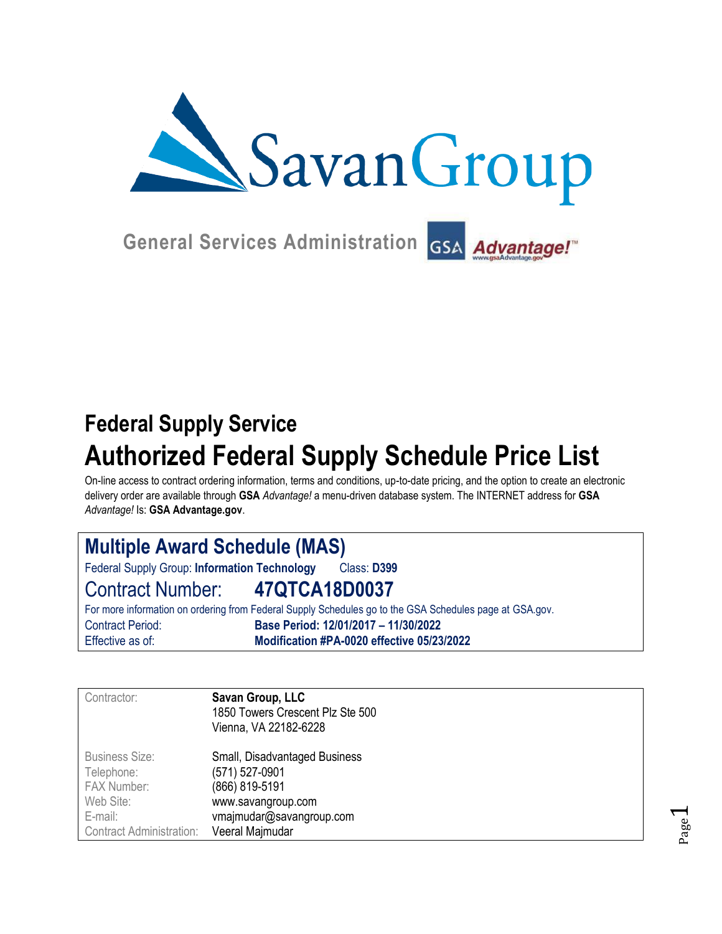

**General Services Administration**

# **Federal Supply Service Authorized Federal Supply Schedule Price List**

On-line access to contract ordering information, terms and conditions, up-to-date pricing, and the option to create an electronic delivery order are available through **GSA** *Advantage!* a menu-driven database system. The INTERNET address for **GSA** *Advantage!* Is: **GSA Advantage.gov**.

| <b>Multiple Award Schedule (MAS)</b>         |                                                                                                         |  |  |  |
|----------------------------------------------|---------------------------------------------------------------------------------------------------------|--|--|--|
| Federal Supply Group: Information Technology | Class: D399                                                                                             |  |  |  |
| Contract Number: 47QTCA18D0037               |                                                                                                         |  |  |  |
|                                              | For more information on ordering from Federal Supply Schedules go to the GSA Schedules page at GSA gov. |  |  |  |
| <b>Contract Period:</b>                      | Base Period: 12/01/2017 - 11/30/2022                                                                    |  |  |  |
| Effective as of:                             | Modification #PA-0020 effective 05/23/2022                                                              |  |  |  |

| Contractor:                     | Savan Group, LLC<br>1850 Towers Crescent Plz Ste 500<br>Vienna, VA 22182-6228 |
|---------------------------------|-------------------------------------------------------------------------------|
| <b>Business Size:</b>           | Small, Disadvantaged Business                                                 |
| Telephone:                      | (571) 527-0901                                                                |
| FAX Number:                     | (866) 819-5191                                                                |
| Web Site:                       | www.savangroup.com                                                            |
| E-mail:                         | vmajmudar@savangroup.com                                                      |
| <b>Contract Administration:</b> | Veeral Majmudar                                                               |

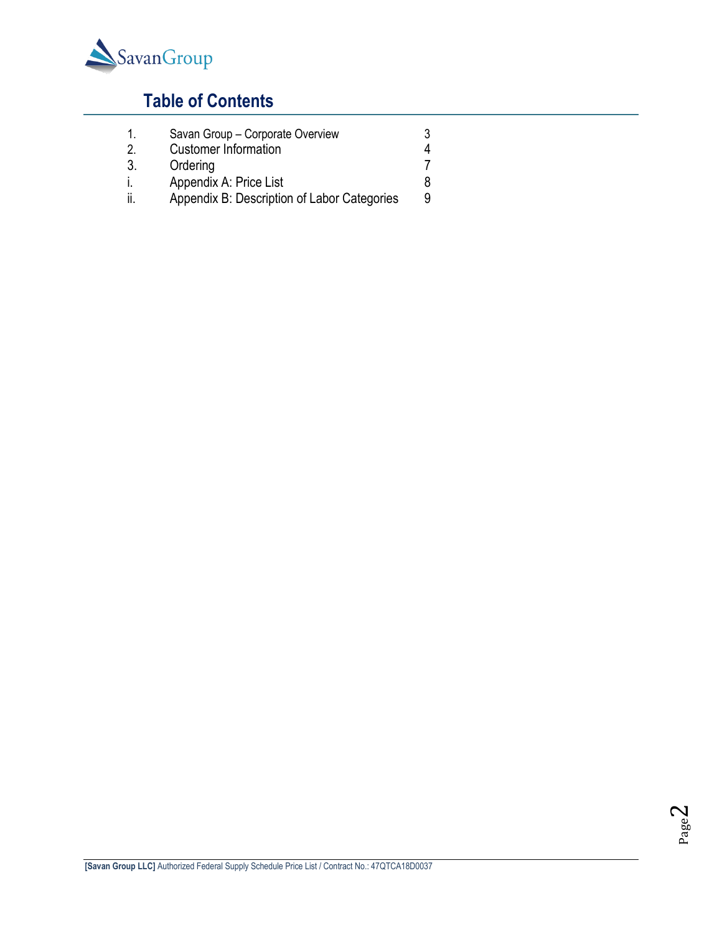

# **Table of Contents**

- 1. Savan Group Corporate Overview 3<br>2. Customer Information 4 2. Customer [Information](#page-2-0) 4<br>3. Ordering 7 **Ordering** i. Appendix A: Price List 68
- ii. Appendix B: Description of Labor Categories 9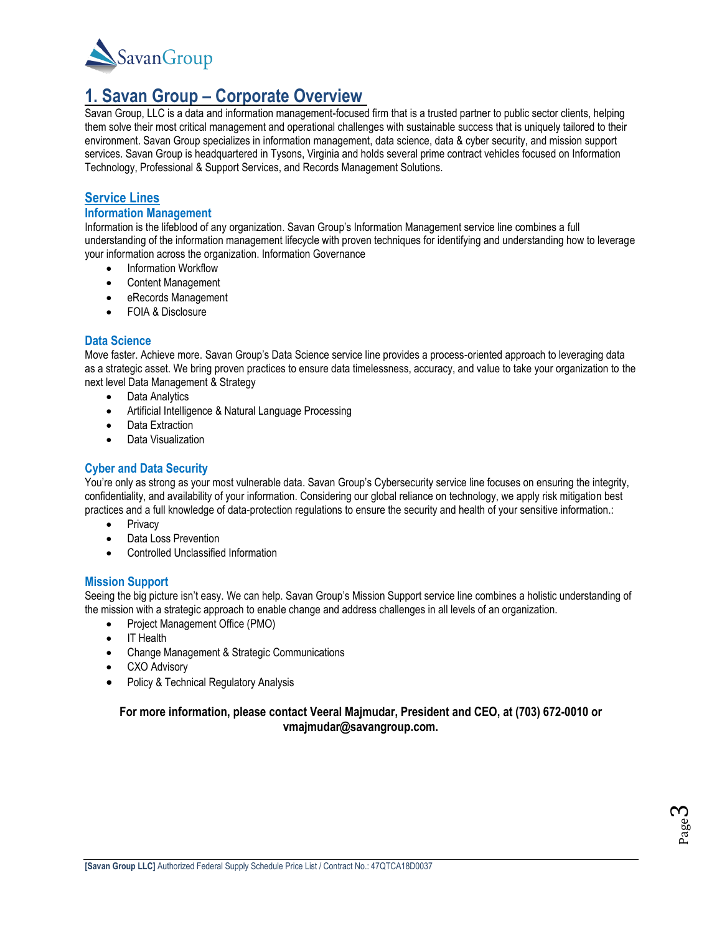

### <span id="page-2-0"></span>**1. Savan Group – Corporate Overview**

Savan Group, LLC is a data and information management-focused firm that is a trusted partner to public sector clients, helping them solve their most critical management and operational challenges with sustainable success that is uniquely tailored to their environment. Savan Group specializes in information management, data science, data & cyber security, and mission support services. Savan Group is headquartered in Tysons, Virginia and holds several prime contract vehicles focused on Information Technology, Professional & Support Services, and Records Management Solutions.

#### **Service Lines**

#### **Information Management**

Information is the lifeblood of any organization. Savan Group's Information Management service line combines a full understanding of the information management lifecycle with proven techniques for identifying and understanding how to leverage your information across the organization. Information Governance

- Information Workflow
- Content Management
- eRecords Management
- FOIA & Disclosure

#### **Data Science**

Move faster. Achieve more. Savan Group's Data Science service line provides a process-oriented approach to leveraging data as a strategic asset. We bring proven practices to ensure data timelessness, accuracy, and value to take your organization to the next level Data Management & Strategy

- Data Analytics
- Artificial Intelligence & Natural Language Processing
- Data Extraction
- Data Visualization

#### **Cyber and Data Security**

You're only as strong as your most vulnerable data. Savan Group's Cybersecurity service line focuses on ensuring the integrity, confidentiality, and availability of your information. Considering our global reliance on technology, we apply risk mitigation best practices and a full knowledge of data-protection regulations to ensure the security and health of your sensitive information.:

- Privacy
- Data Loss Prevention
- Controlled Unclassified Information

#### **Mission Support**

Seeing the big picture isn't easy. We can help. Savan Group's Mission Support service line combines a holistic understanding of the mission with a strategic approach to enable change and address challenges in all levels of an organization.

- Project Management Office (PMO)
- IT Health
- Change Management & Strategic Communications
- CXO Advisory
- Policy & Technical Regulatory Analysis

#### **For more information, please contact Veeral Majmudar, President and CEO, at (703) 672-0010 or vmajmudar@savangroup.com.**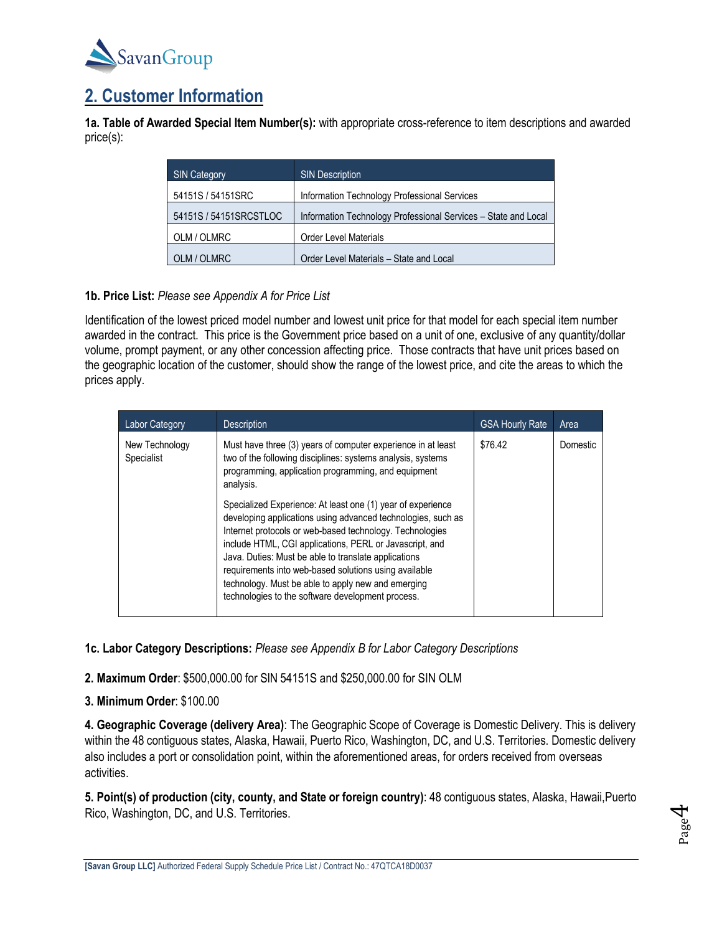

# **2. Customer Information**

**1a. Table of Awarded Special Item Number(s):** with appropriate cross-reference to item descriptions and awarded price(s):

| <b>SIN Category</b>    | <b>SIN Description</b>                                         |
|------------------------|----------------------------------------------------------------|
| 54151S / 54151SRC      | Information Technology Professional Services                   |
| 54151S / 54151SRCSTLOC | Information Technology Professional Services - State and Local |
| OLM / OLMRC            | <b>Order Level Materials</b>                                   |
| OLM / OLMRC            | Order Level Materials - State and Local                        |

#### **1b. Price List:** *Please see Appendix A for Price List*

Identification of the lowest priced model number and lowest unit price for that model for each special item number awarded in the contract. This price is the Government price based on a unit of one, exclusive of any quantity/dollar volume, prompt payment, or any other concession affecting price. Those contracts that have unit prices based on the geographic location of the customer, should show the range of the lowest price, and cite the areas to which the prices apply.

| <b>Labor Category</b>        | <b>Description</b>                                                                                                                                                                                                                                                                                                                                                                                                                                                             | <b>GSA Hourly Rate</b> | Area     |
|------------------------------|--------------------------------------------------------------------------------------------------------------------------------------------------------------------------------------------------------------------------------------------------------------------------------------------------------------------------------------------------------------------------------------------------------------------------------------------------------------------------------|------------------------|----------|
| New Technology<br>Specialist | Must have three (3) years of computer experience in at least<br>two of the following disciplines: systems analysis, systems<br>programming, application programming, and equipment<br>analysis.                                                                                                                                                                                                                                                                                | \$76.42                | Domestic |
|                              | Specialized Experience: At least one (1) year of experience<br>developing applications using advanced technologies, such as<br>Internet protocols or web-based technology. Technologies<br>include HTML, CGI applications, PERL or Javascript, and<br>Java. Duties: Must be able to translate applications<br>requirements into web-based solutions using available<br>technology. Must be able to apply new and emerging<br>technologies to the software development process. |                        |          |

**1c. Labor Category Descriptions:** *Please see Appendix B for Labor Category Descriptions*

**2. Maximum Order**: \$500,000.00 for SIN 54151S and \$250,000.00 for SIN OLM

**3. Minimum Order**: \$100.00

**4. Geographic Coverage (delivery Area)**: The Geographic Scope of Coverage is Domestic Delivery. This is delivery within the 48 contiguous states, Alaska, Hawaii, Puerto Rico, Washington, DC, and U.S. Territories. Domestic delivery also includes a port or consolidation point, within the aforementioned areas, for orders received from overseas activities.

**5. Point(s) of production (city, county, and State or foreign country)**: 48 contiguous states, Alaska, Hawaii,Puerto Rico, Washington, DC, and U.S. Territories.

Page  $\mathcal{A}$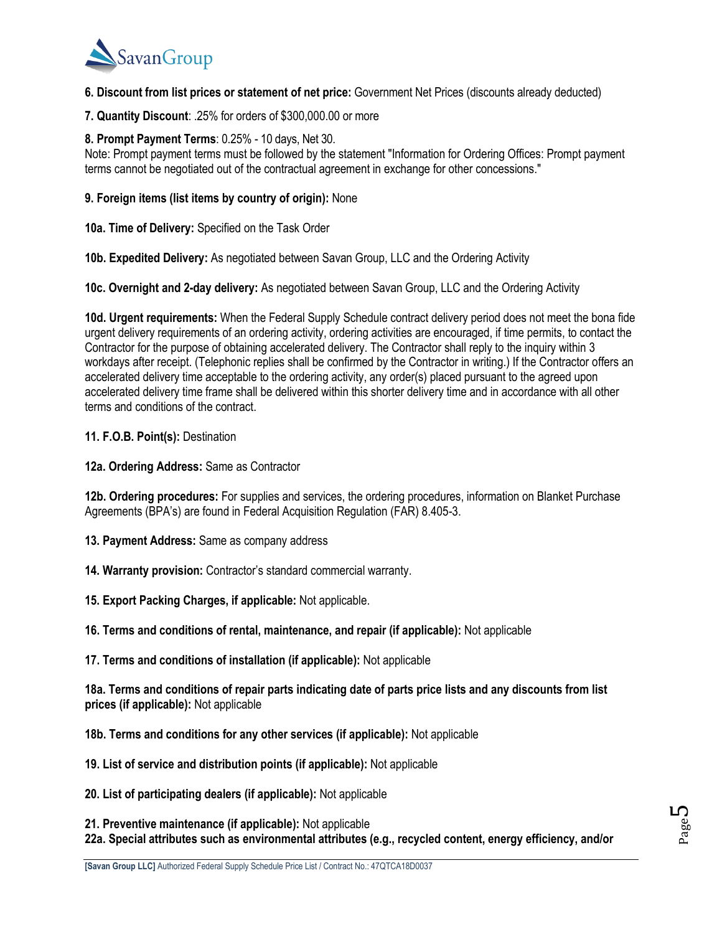

**6. Discount from list prices or statement of net price:** Government Net Prices (discounts already deducted)

**7. Quantity Discount**: .25% for orders of \$300,000.00 or more

#### **8. Prompt Payment Terms**: 0.25% - 10 days, Net 30.

Note: Prompt payment terms must be followed by the statement "Information for Ordering Offices: Prompt payment terms cannot be negotiated out of the contractual agreement in exchange for other concessions."

**9. Foreign items (list items by country of origin):** None

**10a. Time of Delivery:** Specified on the Task Order

**10b. Expedited Delivery:** As negotiated between Savan Group, LLC and the Ordering Activity

**10c. Overnight and 2-day delivery:** As negotiated between Savan Group, LLC and the Ordering Activity

**10d. Urgent requirements:** When the Federal Supply Schedule contract delivery period does not meet the bona fide urgent delivery requirements of an ordering activity, ordering activities are encouraged, if time permits, to contact the Contractor for the purpose of obtaining accelerated delivery. The Contractor shall reply to the inquiry within 3 workdays after receipt. (Telephonic replies shall be confirmed by the Contractor in writing.) If the Contractor offers an accelerated delivery time acceptable to the ordering activity, any order(s) placed pursuant to the agreed upon accelerated delivery time frame shall be delivered within this shorter delivery time and in accordance with all other terms and conditions of the contract.

**11. F.O.B. Point(s):** Destination

**12a. Ordering Address:** Same as Contractor

**12b. Ordering procedures:** For supplies and services, the ordering procedures, information on Blanket Purchase Agreements (BPA's) are found in Federal Acquisition Regulation (FAR) 8.405-3.

- **13. Payment Address:** Same as company address
- **14. Warranty provision:** Contractor's standard commercial warranty.
- **15. Export Packing Charges, if applicable:** Not applicable.
- **16. Terms and conditions of rental, maintenance, and repair (if applicable):** Not applicable
- **17. Terms and conditions of installation (if applicable):** Not applicable

**18a. Terms and conditions of repair parts indicating date of parts price lists and any discounts from list prices (if applicable):** Not applicable

- **18b. Terms and conditions for any other services (if applicable):** Not applicable
- **19. List of service and distribution points (if applicable):** Not applicable
- **20. List of participating dealers (if applicable):** Not applicable

**21. Preventive maintenance (if applicable):** Not applicable **22a. Special attributes such as environmental attributes (e.g., recycled content, energy efficiency, and/or**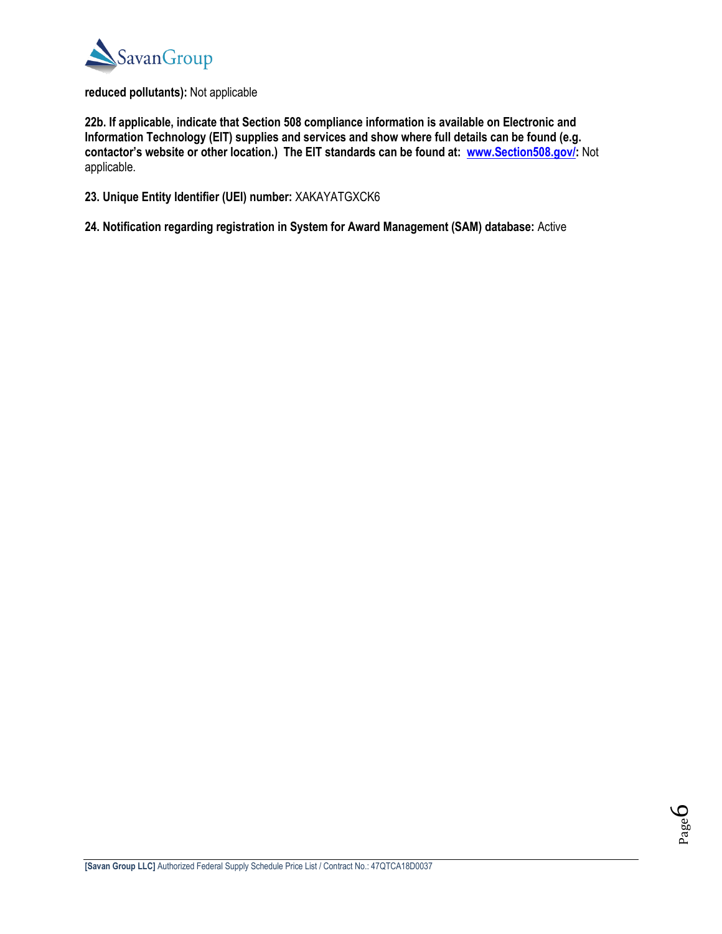

#### **reduced pollutants):** Not applicable

**22b. If applicable, indicate that Section 508 compliance information is available on Electronic and Information Technology (EIT) supplies and services and show where full details can be found (e.g. contactor's website or other location.) The EIT standards can be found at: [www.Section508.gov/:](http://www.section508.gov/)** Not applicable.

- **23. Unique Entity Identifier (UEI) number:** XAKAYATGXCK6
- **24. Notification regarding registration in System for Award Management (SAM) database:** Active

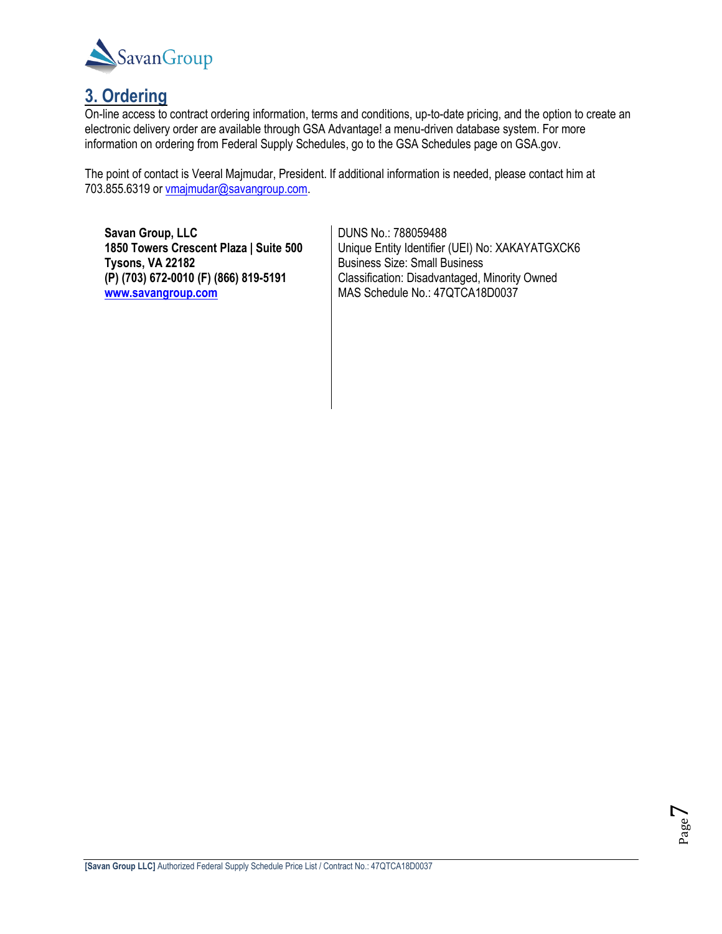

### **3. Ordering**

On-line access to contract ordering information, terms and conditions, up-to-date pricing, and the option to create an electronic delivery order are available through GSA Advantage! a menu-driven database system. For more information on ordering from Federal Supply Schedules, go to the GSA Schedules page on GSA.gov.

The point of contact is Veeral Majmudar, President. If additional information is needed, please contact him at 703.855.6319 or [vmajmudar@savangroup.com.](mailto:vmajmudar@savangroup.com)

**Savan Group, LLC 1850 Towers Crescent Plaza | Suite 500 Tysons, VA 22182 (P) (703) 672-0010 (F) (866) 819-5191 [www.savangroup.com](http://www.savangroup.com/)**

DUNS No.: 788059488 Unique Entity Identifier (UEI) No: XAKAYATGXCK6 Business Size: Small Business Classification: Disadvantaged, Minority Owned MAS Schedule No.: 47QTCA18D0037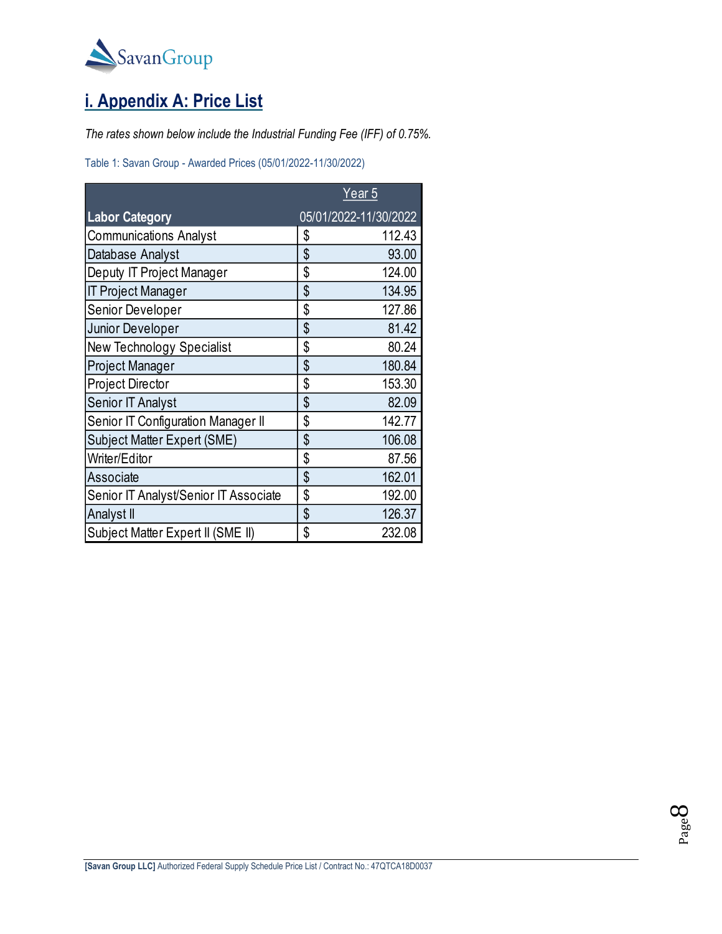

# **i. Appendix A: Price List**

*The rates shown below include the Industrial Funding Fee (IFF) of 0.75%.*

Table 1: Savan Group - Awarded Prices (05/01/2022-11/30/2022)

|                                       | Year <sub>5</sub> |                       |
|---------------------------------------|-------------------|-----------------------|
| <b>Labor Category</b>                 |                   | 05/01/2022-11/30/2022 |
| <b>Communications Analyst</b>         | \$                | 112.43                |
| Database Analyst                      | \$                | 93.00                 |
| Deputy IT Project Manager             | \$                | 124.00                |
| <b>IT Project Manager</b>             | \$                | 134.95                |
| Senior Developer                      | \$                | 127.86                |
| Junior Developer                      | \$                | 81.42                 |
| New Technology Specialist             | \$                | 80.24                 |
| Project Manager                       | \$                | 180.84                |
| Project Director                      | \$                | 153.30                |
| Senior IT Analyst                     | \$                | 82.09                 |
| Senior IT Configuration Manager II    | \$                | 142.77                |
| Subject Matter Expert (SME)           | \$                | 106.08                |
| Writer/Editor                         | \$                | 87.56                 |
| Associate                             | \$                | 162.01                |
| Senior IT Analyst/Senior IT Associate | \$                | 192.00                |
| Analyst II                            | \$                | 126.37                |
| Subject Matter Expert II (SME II)     | \$                | 232.08                |

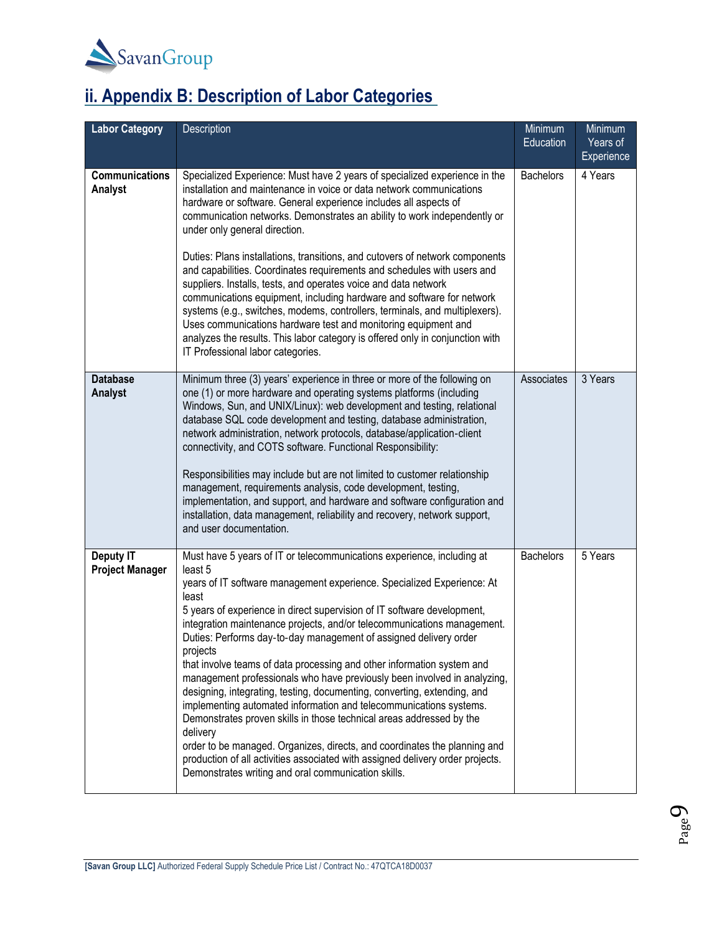

# **ii. Appendix B: Description of Labor Categories**

| <b>Labor Category</b>                      | Description                                                                                                                                                                                                                                                                                                                                                                                                                                                                                                                                                                                                                                                                                                                                                                                                                                                                                                                                                                                                                   | Minimum<br>Education | Minimum<br>Years of<br>Experience |
|--------------------------------------------|-------------------------------------------------------------------------------------------------------------------------------------------------------------------------------------------------------------------------------------------------------------------------------------------------------------------------------------------------------------------------------------------------------------------------------------------------------------------------------------------------------------------------------------------------------------------------------------------------------------------------------------------------------------------------------------------------------------------------------------------------------------------------------------------------------------------------------------------------------------------------------------------------------------------------------------------------------------------------------------------------------------------------------|----------------------|-----------------------------------|
| <b>Communications</b><br>Analyst           | Specialized Experience: Must have 2 years of specialized experience in the<br>installation and maintenance in voice or data network communications<br>hardware or software. General experience includes all aspects of<br>communication networks. Demonstrates an ability to work independently or<br>under only general direction.                                                                                                                                                                                                                                                                                                                                                                                                                                                                                                                                                                                                                                                                                           | <b>Bachelors</b>     | 4 Years                           |
|                                            | Duties: Plans installations, transitions, and cutovers of network components<br>and capabilities. Coordinates requirements and schedules with users and<br>suppliers. Installs, tests, and operates voice and data network<br>communications equipment, including hardware and software for network<br>systems (e.g., switches, modems, controllers, terminals, and multiplexers).<br>Uses communications hardware test and monitoring equipment and<br>analyzes the results. This labor category is offered only in conjunction with<br>IT Professional labor categories.                                                                                                                                                                                                                                                                                                                                                                                                                                                    |                      |                                   |
| <b>Database</b><br>Analyst                 | Minimum three (3) years' experience in three or more of the following on<br>one (1) or more hardware and operating systems platforms (including<br>Windows, Sun, and UNIX/Linux): web development and testing, relational<br>database SQL code development and testing, database administration,<br>network administration, network protocols, database/application-client<br>connectivity, and COTS software. Functional Responsibility:<br>Responsibilities may include but are not limited to customer relationship<br>management, requirements analysis, code development, testing,<br>implementation, and support, and hardware and software configuration and<br>installation, data management, reliability and recovery, network support,<br>and user documentation.                                                                                                                                                                                                                                                   | Associates           | 3 Years                           |
| <b>Deputy IT</b><br><b>Project Manager</b> | Must have 5 years of IT or telecommunications experience, including at<br>least 5<br>years of IT software management experience. Specialized Experience: At<br>least<br>5 years of experience in direct supervision of IT software development,<br>integration maintenance projects, and/or telecommunications management.<br>Duties: Performs day-to-day management of assigned delivery order<br>projects<br>that involve teams of data processing and other information system and<br>management professionals who have previously been involved in analyzing,<br>designing, integrating, testing, documenting, converting, extending, and<br>implementing automated information and telecommunications systems.<br>Demonstrates proven skills in those technical areas addressed by the<br>delivery<br>order to be managed. Organizes, directs, and coordinates the planning and<br>production of all activities associated with assigned delivery order projects.<br>Demonstrates writing and oral communication skills. | <b>Bachelors</b>     | 5 Years                           |

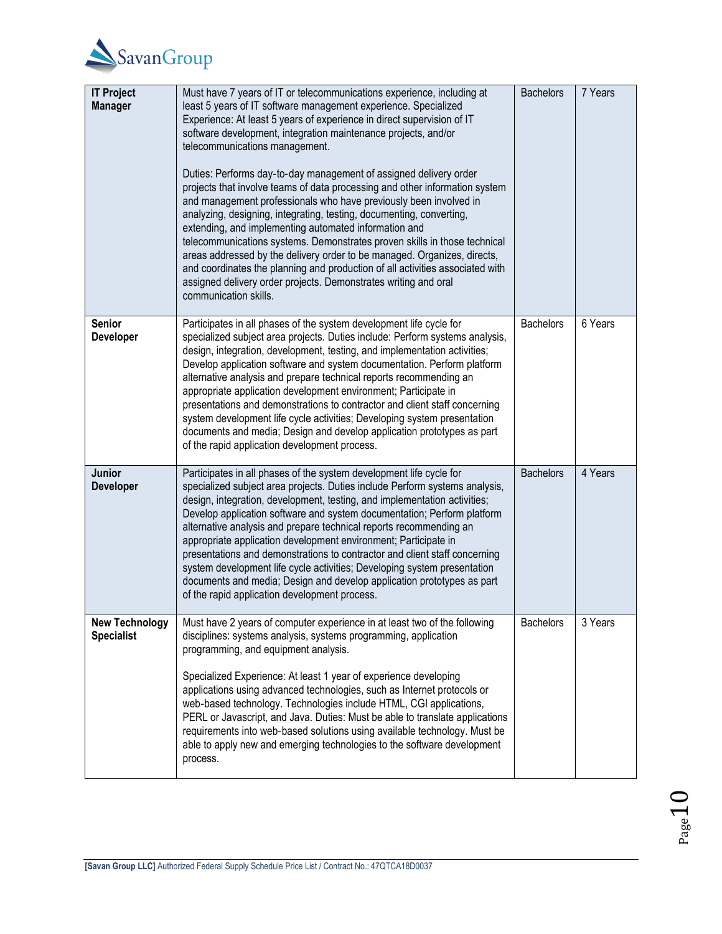

| <b>IT Project</b><br><b>Manager</b>        | Must have 7 years of IT or telecommunications experience, including at<br>least 5 years of IT software management experience. Specialized<br>Experience: At least 5 years of experience in direct supervision of IT<br>software development, integration maintenance projects, and/or<br>telecommunications management.<br>Duties: Performs day-to-day management of assigned delivery order<br>projects that involve teams of data processing and other information system<br>and management professionals who have previously been involved in<br>analyzing, designing, integrating, testing, documenting, converting,<br>extending, and implementing automated information and<br>telecommunications systems. Demonstrates proven skills in those technical<br>areas addressed by the delivery order to be managed. Organizes, directs,<br>and coordinates the planning and production of all activities associated with<br>assigned delivery order projects. Demonstrates writing and oral<br>communication skills. | <b>Bachelors</b> | 7 Years |
|--------------------------------------------|-------------------------------------------------------------------------------------------------------------------------------------------------------------------------------------------------------------------------------------------------------------------------------------------------------------------------------------------------------------------------------------------------------------------------------------------------------------------------------------------------------------------------------------------------------------------------------------------------------------------------------------------------------------------------------------------------------------------------------------------------------------------------------------------------------------------------------------------------------------------------------------------------------------------------------------------------------------------------------------------------------------------------|------------------|---------|
| <b>Senior</b><br>Developer                 | Participates in all phases of the system development life cycle for<br>specialized subject area projects. Duties include: Perform systems analysis,<br>design, integration, development, testing, and implementation activities;<br>Develop application software and system documentation. Perform platform<br>alternative analysis and prepare technical reports recommending an<br>appropriate application development environment; Participate in<br>presentations and demonstrations to contractor and client staff concerning<br>system development life cycle activities; Developing system presentation<br>documents and media; Design and develop application prototypes as part<br>of the rapid application development process.                                                                                                                                                                                                                                                                               | <b>Bachelors</b> | 6 Years |
| <b>Junior</b><br>Developer                 | Participates in all phases of the system development life cycle for<br>specialized subject area projects. Duties include Perform systems analysis,<br>design, integration, development, testing, and implementation activities;<br>Develop application software and system documentation; Perform platform<br>alternative analysis and prepare technical reports recommending an<br>appropriate application development environment; Participate in<br>presentations and demonstrations to contractor and client staff concerning<br>system development life cycle activities; Developing system presentation<br>documents and media; Design and develop application prototypes as part<br>of the rapid application development process.                                                                                                                                                                                                                                                                                | <b>Bachelors</b> | 4 Years |
| <b>New Technology</b><br><b>Specialist</b> | Must have 2 years of computer experience in at least two of the following<br>disciplines: systems analysis, systems programming, application<br>programming, and equipment analysis.<br>Specialized Experience: At least 1 year of experience developing<br>applications using advanced technologies, such as Internet protocols or<br>web-based technology. Technologies include HTML, CGI applications,<br>PERL or Javascript, and Java. Duties: Must be able to translate applications<br>requirements into web-based solutions using available technology. Must be<br>able to apply new and emerging technologies to the software development<br>process.                                                                                                                                                                                                                                                                                                                                                           | <b>Bachelors</b> | 3 Years |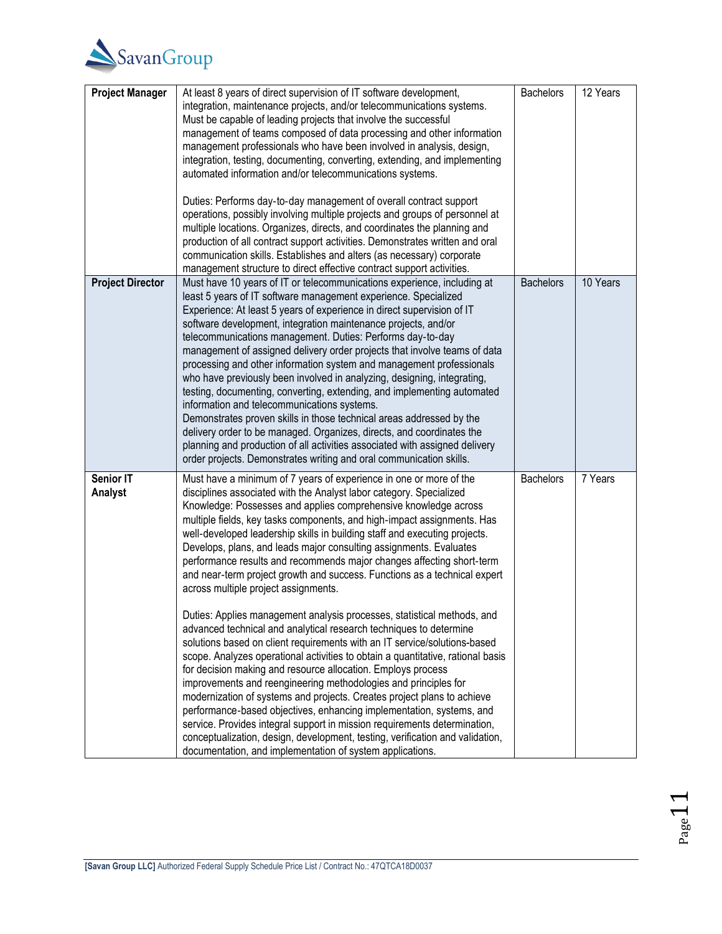

| <b>Project Manager</b>  | At least 8 years of direct supervision of IT software development,<br>integration, maintenance projects, and/or telecommunications systems.<br>Must be capable of leading projects that involve the successful<br>management of teams composed of data processing and other information<br>management professionals who have been involved in analysis, design,<br>integration, testing, documenting, converting, extending, and implementing<br>automated information and/or telecommunications systems.<br>Duties: Performs day-to-day management of overall contract support<br>operations, possibly involving multiple projects and groups of personnel at<br>multiple locations. Organizes, directs, and coordinates the planning and<br>production of all contract support activities. Demonstrates written and oral<br>communication skills. Establishes and alters (as necessary) corporate<br>management structure to direct effective contract support activities.                                                                                                                                                                                                                                                                                                                                                                                                                                                                                                | <b>Bachelors</b> | 12 Years |
|-------------------------|-----------------------------------------------------------------------------------------------------------------------------------------------------------------------------------------------------------------------------------------------------------------------------------------------------------------------------------------------------------------------------------------------------------------------------------------------------------------------------------------------------------------------------------------------------------------------------------------------------------------------------------------------------------------------------------------------------------------------------------------------------------------------------------------------------------------------------------------------------------------------------------------------------------------------------------------------------------------------------------------------------------------------------------------------------------------------------------------------------------------------------------------------------------------------------------------------------------------------------------------------------------------------------------------------------------------------------------------------------------------------------------------------------------------------------------------------------------------------------|------------------|----------|
| <b>Project Director</b> | Must have 10 years of IT or telecommunications experience, including at<br>least 5 years of IT software management experience. Specialized<br>Experience: At least 5 years of experience in direct supervision of IT<br>software development, integration maintenance projects, and/or<br>telecommunications management. Duties: Performs day-to-day<br>management of assigned delivery order projects that involve teams of data<br>processing and other information system and management professionals<br>who have previously been involved in analyzing, designing, integrating,<br>testing, documenting, converting, extending, and implementing automated<br>information and telecommunications systems.<br>Demonstrates proven skills in those technical areas addressed by the<br>delivery order to be managed. Organizes, directs, and coordinates the<br>planning and production of all activities associated with assigned delivery<br>order projects. Demonstrates writing and oral communication skills.                                                                                                                                                                                                                                                                                                                                                                                                                                                       | <b>Bachelors</b> | 10 Years |
| Senior IT<br>Analyst    | Must have a minimum of 7 years of experience in one or more of the<br>disciplines associated with the Analyst labor category. Specialized<br>Knowledge: Possesses and applies comprehensive knowledge across<br>multiple fields, key tasks components, and high-impact assignments. Has<br>well-developed leadership skills in building staff and executing projects.<br>Develops, plans, and leads major consulting assignments. Evaluates<br>performance results and recommends major changes affecting short-term<br>and near-term project growth and success. Functions as a technical expert<br>across multiple project assignments.<br>Duties: Applies management analysis processes, statistical methods, and<br>advanced technical and analytical research techniques to determine<br>solutions based on client requirements with an IT service/solutions-based<br>scope. Analyzes operational activities to obtain a quantitative, rational basis<br>for decision making and resource allocation. Employs process<br>improvements and reengineering methodologies and principles for<br>modernization of systems and projects. Creates project plans to achieve<br>performance-based objectives, enhancing implementation, systems, and<br>service. Provides integral support in mission requirements determination,<br>conceptualization, design, development, testing, verification and validation,<br>documentation, and implementation of system applications. | <b>Bachelors</b> | 7 Years  |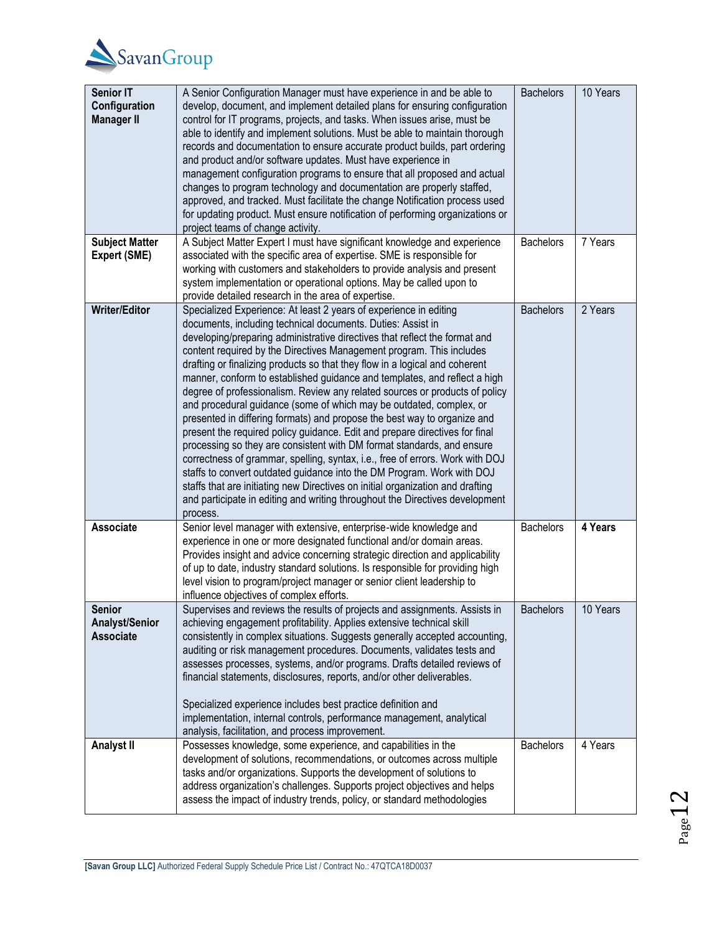

| <b>Senior IT</b><br>Configuration<br><b>Manager II</b> | A Senior Configuration Manager must have experience in and be able to<br>develop, document, and implement detailed plans for ensuring configuration<br>control for IT programs, projects, and tasks. When issues arise, must be<br>able to identify and implement solutions. Must be able to maintain thorough<br>records and documentation to ensure accurate product builds, part ordering<br>and product and/or software updates. Must have experience in<br>management configuration programs to ensure that all proposed and actual<br>changes to program technology and documentation are properly staffed,<br>approved, and tracked. Must facilitate the change Notification process used<br>for updating product. Must ensure notification of performing organizations or<br>project teams of change activity.                                                                                                                                                                                                                                                                                                                                                                 | <b>Bachelors</b> | 10 Years |
|--------------------------------------------------------|----------------------------------------------------------------------------------------------------------------------------------------------------------------------------------------------------------------------------------------------------------------------------------------------------------------------------------------------------------------------------------------------------------------------------------------------------------------------------------------------------------------------------------------------------------------------------------------------------------------------------------------------------------------------------------------------------------------------------------------------------------------------------------------------------------------------------------------------------------------------------------------------------------------------------------------------------------------------------------------------------------------------------------------------------------------------------------------------------------------------------------------------------------------------------------------|------------------|----------|
| <b>Subject Matter</b><br>Expert (SME)                  | A Subject Matter Expert I must have significant knowledge and experience<br>associated with the specific area of expertise. SME is responsible for<br>working with customers and stakeholders to provide analysis and present<br>system implementation or operational options. May be called upon to<br>provide detailed research in the area of expertise.                                                                                                                                                                                                                                                                                                                                                                                                                                                                                                                                                                                                                                                                                                                                                                                                                            | <b>Bachelors</b> | 7 Years  |
| <b>Writer/Editor</b>                                   | Specialized Experience: At least 2 years of experience in editing<br>documents, including technical documents. Duties: Assist in<br>developing/preparing administrative directives that reflect the format and<br>content required by the Directives Management program. This includes<br>drafting or finalizing products so that they flow in a logical and coherent<br>manner, conform to established guidance and templates, and reflect a high<br>degree of professionalism. Review any related sources or products of policy<br>and procedural guidance (some of which may be outdated, complex, or<br>presented in differing formats) and propose the best way to organize and<br>present the required policy guidance. Edit and prepare directives for final<br>processing so they are consistent with DM format standards, and ensure<br>correctness of grammar, spelling, syntax, i.e., free of errors. Work with DOJ<br>staffs to convert outdated guidance into the DM Program. Work with DOJ<br>staffs that are initiating new Directives on initial organization and drafting<br>and participate in editing and writing throughout the Directives development<br>process. | <b>Bachelors</b> | 2 Years  |
| Associate                                              | Senior level manager with extensive, enterprise-wide knowledge and<br>experience in one or more designated functional and/or domain areas.<br>Provides insight and advice concerning strategic direction and applicability<br>of up to date, industry standard solutions. Is responsible for providing high<br>level vision to program/project manager or senior client leadership to<br>influence objectives of complex efforts.                                                                                                                                                                                                                                                                                                                                                                                                                                                                                                                                                                                                                                                                                                                                                      | <b>Bachelors</b> | 4 Years  |
| <b>Senior</b><br><b>Analyst/Senior</b><br>Associate    | Supervises and reviews the results of projects and assignments. Assists in<br>achieving engagement profitability. Applies extensive technical skill<br>consistently in complex situations. Suggests generally accepted accounting,<br>auditing or risk management procedures. Documents, validates tests and<br>assesses processes, systems, and/or programs. Drafts detailed reviews of<br>financial statements, disclosures, reports, and/or other deliverables.<br>Specialized experience includes best practice definition and<br>implementation, internal controls, performance management, analytical<br>analysis, facilitation, and process improvement.                                                                                                                                                                                                                                                                                                                                                                                                                                                                                                                        | <b>Bachelors</b> | 10 Years |
| <b>Analyst II</b>                                      | Possesses knowledge, some experience, and capabilities in the<br>development of solutions, recommendations, or outcomes across multiple<br>tasks and/or organizations. Supports the development of solutions to<br>address organization's challenges. Supports project objectives and helps<br>assess the impact of industry trends, policy, or standard methodologies                                                                                                                                                                                                                                                                                                                                                                                                                                                                                                                                                                                                                                                                                                                                                                                                                 | <b>Bachelors</b> | 4 Years  |